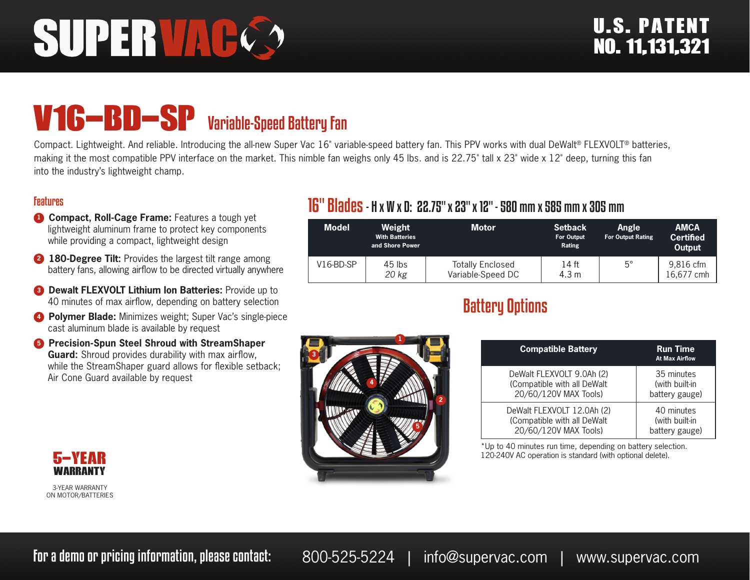# SUPERVAC

## V16-BD-SP Variable-Speed Battery Fan

Compact. Lightweight. And reliable. Introducing the all-new Super Vac  $16"$  variable-speed battery fan. This PPV works with dual DeWalt® FLEXVOLT® batteries, making it the most compatible PPV interface on the market. This nimble fan weighs only 45 lbs. and is 22.75" tall x 23" wide x 12" deep, turning this fan into the industry's lightweight champ.

 **3**

 **1**

 **4**

 **2**

 **5**

#### Features

- **1 Compact, Roll-Cage Frame:** Features a tough yet lightweight aluminum frame to protect key components while providing a compact, lightweight design
- **2 180-Degree Tilt:** Provides the largest tilt range among battery fans, allowing airflow to be directed virtually anywhere
- **8 Dewalt FLEXVOLT Lithium Ion Batteries:** Provide up to 40 minutes of max airflow, depending on battery selection
- **4 Polymer Blade:** Minimizes weight; Super Vac's single-piece cast aluminum blade is available by request
- **6** Precision-Spun Steel Shroud with StreamShaper **Guard:** Shroud provides durability with max airflow, while the StreamShaper guard allows for flexible setback; Air Cone Guard available by request

#### 16" Blades- H x W x D: 22.75" x 23" x 12" - 580 mm x 585 mm x 305 mm

| <b>Model</b> | Weight<br><b>With Batteries</b><br>and Shore Power | <b>Motor</b>                                 | <b>Setback</b><br><b>For Output</b><br>Rating | <b>Angle</b><br><b>For Output Rating</b> | <b>AMCA</b><br><b>Certified</b><br>Output |
|--------------|----------------------------------------------------|----------------------------------------------|-----------------------------------------------|------------------------------------------|-------------------------------------------|
| $V16-BD-SP$  | $45$ lbs<br>20 kg                                  | <b>Totally Enclosed</b><br>Variable-Speed DC | 14 ft<br>4.3 m                                | $5^{\circ}$                              | 9,816 cfm<br>16.677 cmh                   |

### Battery Options

| <b>Compatible Battery</b>   | <b>Run Time</b><br><b>At Max Airflow</b> |
|-----------------------------|------------------------------------------|
| DeWalt FLEXVOLT 9.0Ah (2)   | 35 minutes                               |
| (Compatible with all DeWalt | (with built-in                           |
| 20/60/120V MAX Tools)       | battery gauge)                           |
| DeWalt FLEXVOLT 12.0Ah (2)  | 40 minutes                               |
| (Compatible with all DeWalt | (with built-in                           |
| 20/60/120V MAX Tools)       | battery gauge)                           |

\*Up to 40 minutes run time, depending on battery selection. 120-240V AC operation is standard (with optional delete).



3-YEAR WARRANTY ON MOTOR/BATTERIES